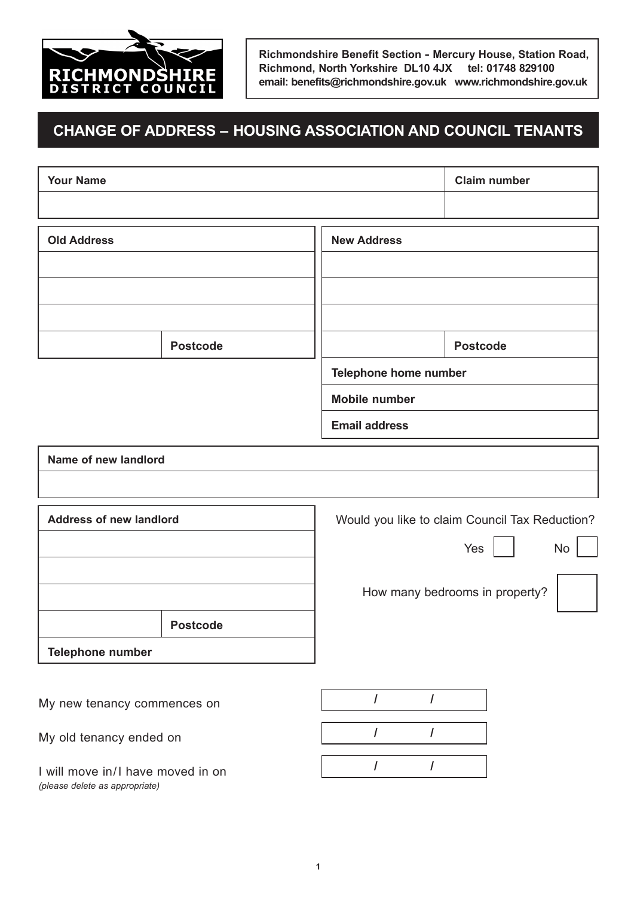

**Richmondshire Benefit Section - Mercury House, Station Road, Richmond, North Yorkshire DL10 4JX tel: 01748 829100 email: benefits@richmondshire.gov.uk www.richmondshire.gov.uk**

## **CHANgE Of ADDRESS – HOUSINg ASSOCIATION AND COUNCIL TENANTS**

| <b>Your Name</b>               |                 |                                                | <b>Claim number</b>            |  |
|--------------------------------|-----------------|------------------------------------------------|--------------------------------|--|
|                                |                 |                                                |                                |  |
| <b>Old Address</b>             |                 | <b>New Address</b>                             |                                |  |
|                                |                 |                                                |                                |  |
|                                |                 |                                                |                                |  |
|                                |                 |                                                |                                |  |
|                                | <b>Postcode</b> |                                                | <b>Postcode</b>                |  |
|                                |                 | Telephone home number                          |                                |  |
|                                |                 | <b>Mobile number</b>                           |                                |  |
|                                |                 | <b>Email address</b>                           |                                |  |
| Name of new landlord           |                 |                                                |                                |  |
|                                |                 |                                                |                                |  |
| <b>Address of new landlord</b> |                 | Would you like to claim Council Tax Reduction? |                                |  |
|                                |                 |                                                | Yes<br>No                      |  |
|                                |                 |                                                | How many bedrooms in property? |  |
|                                | <b>Postcode</b> |                                                |                                |  |
| Telephone number               |                 |                                                |                                |  |
|                                |                 |                                                |                                |  |
| My new tenancy commences on    |                 | $\overline{I}$<br>$\prime$                     |                                |  |

My old tenancy ended on

I will move in/I have moved in on *(please delete as appropriate)*